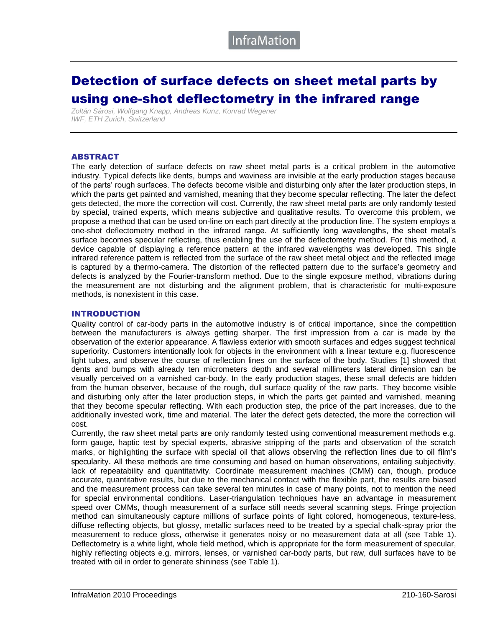# Detection of surface defects on sheet metal parts by using one-shot deflectometry in the infrared range

*Zoltán Sárosi, Wolfgang Knapp, Andreas Kunz, Konrad Wegener IWF, ETH Zurich, Switzerland*

### ABSTRACT

The early detection of surface defects on raw sheet metal parts is a critical problem in the automotive industry. Typical defects like dents, bumps and waviness are invisible at the early production stages because of the parts' rough surfaces. The defects become visible and disturbing only after the later production steps, in which the parts get painted and varnished, meaning that they become specular reflecting. The later the defect gets detected, the more the correction will cost. Currently, the raw sheet metal parts are only randomly tested by special, trained experts, which means subjective and qualitative results. To overcome this problem, we propose a method that can be used on-line on each part directly at the production line. The system employs a one-shot deflectometry method in the infrared range. At sufficiently long wavelengths, the sheet metal's surface becomes specular reflecting, thus enabling the use of the deflectometry method. For this method, a device capable of displaying a reference pattern at the infrared wavelengths was developed. This single infrared reference pattern is reflected from the surface of the raw sheet metal object and the reflected image is captured by a thermo-camera. The distortion of the reflected pattern due to the surface's geometry and defects is analyzed by the Fourier-transform method. Due to the single exposure method, vibrations during the measurement are not disturbing and the alignment problem, that is characteristic for multi-exposure methods, is nonexistent in this case.

#### INTRODUCTION

Quality control of car-body parts in the automotive industry is of critical importance, since the competition between the manufacturers is always getting sharper. The first impression from a car is made by the observation of the exterior appearance. A flawless exterior with smooth surfaces and edges suggest technical superiority. Customers intentionally look for objects in the environment with a linear texture e.g. fluorescence light tubes, and observe the course of reflection lines on the surface of the body. Studies [1] showed that dents and bumps with already ten micrometers depth and several millimeters lateral dimension can be visually perceived on a varnished car-body. In the early production stages, these small defects are hidden from the human observer, because of the rough, dull surface quality of the raw parts. They become visible and disturbing only after the later production steps, in which the parts get painted and varnished, meaning that they become specular reflecting. With each production step, the price of the part increases, due to the additionally invested work, time and material. The later the defect gets detected, the more the correction will cost.

Currently, the raw sheet metal parts are only randomly tested using conventional measurement methods e.g. form gauge, haptic test by special experts, abrasive stripping of the parts and observation of the scratch marks, or highlighting the surface with special oil that allows observing the reflection lines due to oil film's specularity. All these methods are time consuming and based on human observations, entailing subjectivity, lack of repeatability and quantitativity. Coordinate measurement machines (CMM) can, though, produce accurate, quantitative results, but due to the mechanical contact with the flexible part, the results are biased and the measurement process can take several ten minutes in case of many points, not to mention the need for special environmental conditions. Laser-triangulation techniques have an advantage in measurement speed over CMMs, though measurement of a surface still needs several scanning steps. Fringe projection method can simultaneously capture millions of surface points of light colored, homogeneous, texture-less, diffuse reflecting objects, but glossy, metallic surfaces need to be treated by a special chalk-spray prior the measurement to reduce gloss, otherwise it generates noisy or no measurement data at all (see Table 1). Deflectometry is a white light, whole field method, which is appropriate for the form measurement of specular, highly reflecting objects e.g. mirrors, lenses, or varnished car-body parts, but raw, dull surfaces have to be treated with oil in order to generate shininess (see Table 1).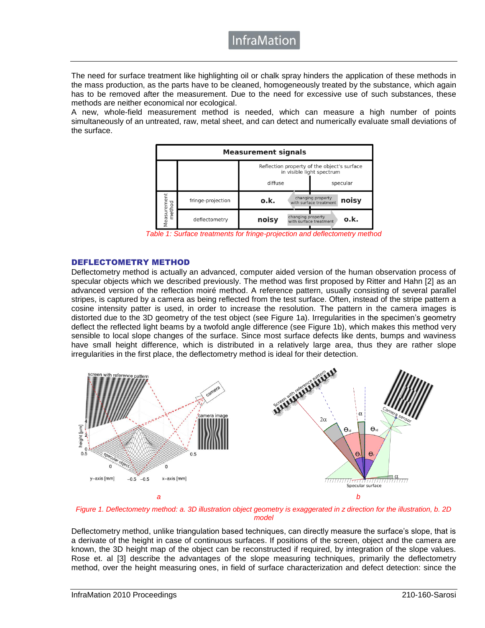### **InfraMatior**

The need for surface treatment like highlighting oil or chalk spray hinders the application of these methods in the mass production, as the parts have to be cleaned, homogeneously treated by the substance, which again has to be removed after the measurement. Due to the need for excessive use of such substances, these methods are neither economical nor ecological.

A new, whole-field measurement method is needed, which can measure a high number of points simultaneously of an untreated, raw, metal sheet, and can detect and numerically evaluate small deviations of the surface.



*Table 1: Surface treatments for fringe-projection and deflectometry method*

### DEFLECTOMETRY METHOD

Deflectometry method is actually an advanced, computer aided version of the human observation process of specular objects which we described previously. The method was first proposed by Ritter and Hahn [2] as an advanced version of the reflection moiré method. A reference pattern, usually consisting of several parallel stripes, is captured by a camera as being reflected from the test surface. Often, instead of the stripe pattern a cosine intensity patter is used, in order to increase the resolution. The pattern in the camera images is distorted due to the 3D geometry of the test object (see Figure 1a). Irregularities in the specimen's geometry deflect the reflected light beams by a twofold angle difference (see Figure 1b), which makes this method very sensible to local slope changes of the surface. Since most surface defects like dents, bumps and waviness have small height difference, which is distributed in a relatively large area, thus they are rather slope irregularities in the first place, the deflectometry method is ideal for their detection.



*Figure 1. Deflectometry method: a. 3D illustration object geometry is exaggerated in z direction for the illustration, b. 2D model*

Deflectometry method, unlike triangulation based techniques, can directly measure the surface's slope, that is a derivate of the height in case of continuous surfaces. If positions of the screen, object and the camera are known, the 3D height map of the object can be reconstructed if required, by integration of the slope values. Rose et. al [3] describe the advantages of the slope measuring techniques, primarily the deflectometry method, over the height measuring ones, in field of surface characterization and defect detection: since the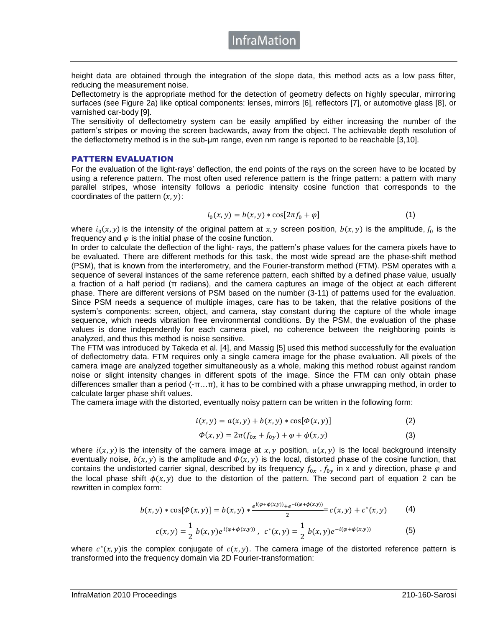height data are obtained through the integration of the slope data, this method acts as a low pass filter, reducing the measurement noise.

Deflectometry is the appropriate method for the detection of geometry defects on highly specular, mirroring surfaces (see Figure 2a) like optical components: lenses, mirrors [6], reflectors [7], or automotive glass [8], or varnished car-body [9].

The sensitivity of deflectometry system can be easily amplified by either increasing the number of the pattern's stripes or moving the screen backwards, away from the object. The achievable depth resolution of the deflectometry method is in the sub-μm range, even nm range is reported to be reachable [3,10].

#### PATTERN EVALUATION

For the evaluation of the light-rays' deflection, the end points of the rays on the screen have to be located by using a reference pattern. The most often used reference pattern is the fringe pattern: a pattern with many parallel stripes, whose intensity follows a periodic intensity cosine function that corresponds to the coordinates of the pattern  $(x, y)$ :

$$
i_0(x, y) = b(x, y) * \cos[2\pi f_0 + \varphi]
$$
 (1)

where  $i_0(x, y)$  is the intensity of the original pattern at x, y screen position,  $b(x, y)$  is the amplitude,  $f_0$  is the frequency and  $\varphi$  is the initial phase of the cosine function.

In order to calculate the deflection of the light- rays, the pattern's phase values for the camera pixels have to be evaluated. There are different methods for this task, the most wide spread are the phase-shift method (PSM), that is known from the interferometry, and the Fourier-transform method (FTM). PSM operates with a sequence of several instances of the same reference pattern, each shifted by a defined phase value, usually a fraction of a half period (π radians), and the camera captures an image of the object at each different phase. There are different versions of PSM based on the number (3-11) of patterns used for the evaluation. Since PSM needs a sequence of multiple images, care has to be taken, that the relative positions of the system's components: screen, object, and camera, stay constant during the capture of the whole image sequence, which needs vibration free environmental conditions. By the PSM, the evaluation of the phase values is done independently for each camera pixel, no coherence between the neighboring points is analyzed, and thus this method is noise sensitive.

The FTM was introduced by Takeda et al. [4], and Massig [5] used this method successfully for the evaluation of deflectometry data. FTM requires only a single camera image for the phase evaluation. All pixels of the camera image are analyzed together simultaneously as a whole, making this method robust against random noise or slight intensity changes in different spots of the image. Since the FTM can only obtain phase differences smaller than a period (-π…π), it has to be combined with a phase unwrapping method, in order to calculate larger phase shift values.

The camera image with the distorted, eventually noisy pattern can be written in the following form:

$$
i(x, y) = a(x, y) + b(x, y) * \cos[\phi(x, y)]
$$
 (2)

$$
\Phi(x, y) = 2\pi (f_{0x} + f_{0y}) + \varphi + \phi(x, y)
$$
\n(3)

where  $i(x, y)$  is the intensity of the camera image at x, y position,  $a(x, y)$  is the local background intensity eventually noise,  $b(x, y)$  is the amplitude and  $\Phi(x, y)$  is the local, distorted phase of the cosine function, that contains the undistorted carrier signal, described by its frequency  $f_{0x}$ ,  $f_{0y}$  in x and y direction, phase  $\varphi$  and the local phase shift  $\phi(x, y)$  due to the distortion of the pattern. The second part of equation 2 can be rewritten in complex form:

$$
b(x,y) * \cos[\Phi(x,y)] = b(x,y) * \frac{e^{i(\varphi + \phi(x,y))} + e^{-i(\varphi + \phi(x,y))}}{2} = c(x,y) + c^*(x,y) \tag{4}
$$

$$
c(x,y) = \frac{1}{2} b(x,y) e^{i(\varphi + \phi(x,y))}, \ c^*(x,y) = \frac{1}{2} b(x,y) e^{-i(\varphi + \phi(x,y))}
$$
(5)

where  $c^*(x, y)$  is the complex conjugate of  $c(x, y)$ . The camera image of the distorted reference pattern is transformed into the frequency domain via 2D Fourier-transformation: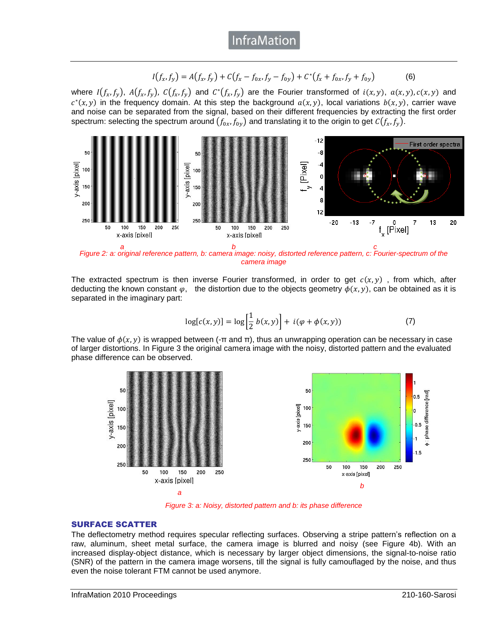$$
I(f_x, f_y) = A(f_x, f_y) + C(f_x - f_{0x}, f_y - f_{0y}) + C^*(f_x + f_{0x}, f_y + f_{0y})
$$
(6)

where  $I(f_x, f_y)$ ,  $A(f_x, f_y)$ ,  $C(f_x, f_y)$  and  $C^*(f_x, f_y)$  are the Fourier transformed of  $i(x, y)$ ,  $a(x, y)$ ,  $c(x, y)$  and  $c^*(x, y)$  in the frequency domain. At this step the background  $a(x, y)$ , local variations  $b(x, y)$ , carrier wave and noise can be separated from the signal, based on their different frequencies by extracting the first order spectrum: selecting the spectrum around  $(f_{0x}, f_{0y})$  and translating it to the origin to get  $C(f_x, f_y)$ .



*Figure 2: a: original reference pattern, b: camera image: noisy, distorted reference pattern, c: Fourier-spectrum of the camera image*

The extracted spectrum is then inverse Fourier transformed, in order to get  $c(x, y)$ , from which, after deducting the known constant  $\varphi$ , the distortion due to the objects geometry  $\varphi(x, y)$ , can be obtained as it is separated in the imaginary part:

$$
\log[c(x, y)] = \log\left[\frac{1}{2} b(x, y)\right] + i(\varphi + \phi(x, y))
$$
 (7)

The value of  $\phi(x, y)$  is wrapped between (-π and π), thus an unwrapping operation can be necessary in case of larger distortions. In Figure 3 the original camera image with the noisy, distorted pattern and the evaluated phase difference can be observed.



*Figure 3: a: Noisy, distorted pattern and b: its phase difference*

### SURFACE SCATTER

The deflectometry method requires specular reflecting surfaces. Observing a stripe pattern's reflection on a raw, aluminum, sheet metal surface, the camera image is blurred and noisy (see Figure 4b). With an increased display-object distance, which is necessary by larger object dimensions, the signal-to-noise ratio (SNR) of the pattern in the camera image worsens, till the signal is fully camouflaged by the noise, and thus even the noise tolerant FTM cannot be used anymore.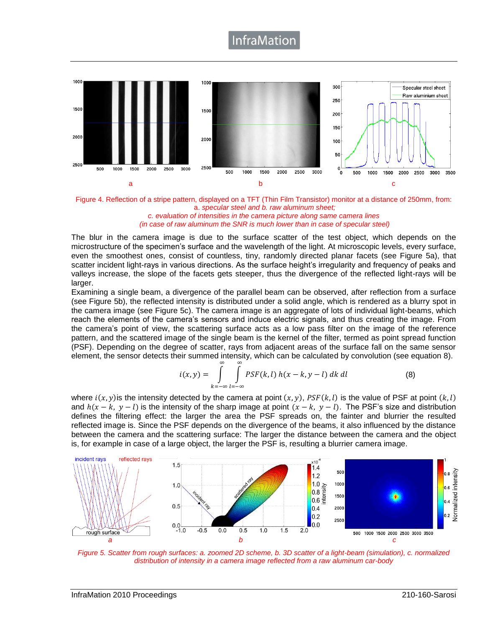# **InfraMatior**



Figure 4. Reflection of a stripe pattern, displayed on a TFT (Thin Film Transistor) monitor at a distance of 250mm, from: a. *specular steel and b. raw aluminum sheet;*

*c. evaluation of intensities in the camera picture along same camera lines (in case of raw aluminum the SNR is much lower than in case of specular steel)*

The blur in the camera image is due to the surface scatter of the test object, which depends on the microstructure of the specimen's surface and the wavelength of the light. At microscopic levels, every surface, even the smoothest ones, consist of countless, tiny, randomly directed planar facets (see Figure 5a), that scatter incident light-rays in various directions. As the surface height's irregularity and frequency of peaks and valleys increase, the slope of the facets gets steeper, thus the divergence of the reflected light-rays will be larger.

Examining a single beam, a divergence of the parallel beam can be observed, after reflection from a surface (see Figure 5b), the reflected intensity is distributed under a solid angle, which is rendered as a blurry spot in the camera image (see Figure 5c). The camera image is an aggregate of lots of individual light-beams, which reach the elements of the camera's sensors and induce electric signals, and thus creating the image. From the camera's point of view, the scattering surface acts as a low pass filter on the image of the reference pattern, and the scattered image of the single beam is the kernel of the filter, termed as point spread function (PSF). Depending on the degree of scatter, rays from adjacent areas of the surface fall on the same sensor element, the sensor detects their summed intensity, which can be calculated by convolution (see equation 8).

$$
i(x,y) = \int_{k=-\infty}^{\infty} \int_{l=-\infty}^{\infty} PSF(k,l) h(x-k,y-l) dk dl
$$
 (8)

where  $i(x, y)$  is the intensity detected by the camera at point  $(x, y)$ ,  $PSF(k, l)$  is the value of PSF at point  $(k, l)$ and  $h(x - k, y - l)$  is the intensity of the sharp image at point  $(x - k, y - l)$ . The PSF's size and distribution defines the filtering effect: the larger the area the PSF spreads on, the fainter and blurrier the resulted reflected image is. Since the PSF depends on the divergence of the beams, it also influenced by the distance between the camera and the scattering surface: The larger the distance between the camera and the object is, for example in case of a large object, the larger the PSF is, resulting a blurrier camera image.



*Figure 5. Scatter from rough surfaces: a. zoomed 2D scheme, b. 3D scatter of a light-beam (simulation), c. normalized distribution of intensity in a camera image reflected from a raw aluminum car-body*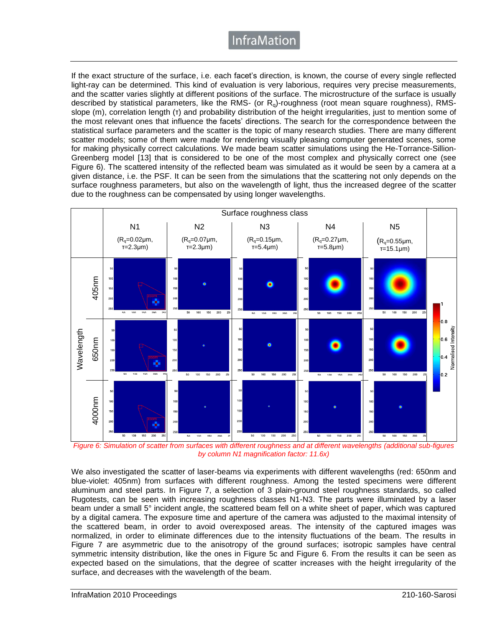# InfraMation

If the exact structure of the surface, i.e. each facet's direction, is known, the course of every single reflected light-ray can be determined. This kind of evaluation is very laborious, requires very precise measurements, and the scatter varies slightly at different positions of the surface. The microstructure of the surface is usually described by statistical parameters, like the RMS- (or  $R_q$ )-roughness (root mean square roughness), RMSslope (m), correlation length (τ) and probability distribution of the height irregularities, just to mention some of the most relevant ones that influence the facets' directions. The search for the correspondence between the statistical surface parameters and the scatter is the topic of many research studies. There are many different scatter models; some of them were made for rendering visually pleasing computer generated scenes, some for making physically correct calculations. We made beam scatter simulations using the He-Torrance-Sillion-Greenberg model [13] that is considered to be one of the most complex and physically correct one (see Figure 6). The scattered intensity of the reflected beam was simulated as it would be seen by a camera at a given distance, i.e. the PSF. It can be seen from the simulations that the scattering not only depends on the surface roughness parameters, but also on the wavelength of light, thus the increased degree of the scatter due to the roughness can be compensated by using longer wavelengths.



*Figure 6: Simulation of scatter from surfaces with different roughness and at different wavelengths (additional sub-figures by column N1 magnification factor: 11.6x)*

We also investigated the scatter of laser-beams via experiments with different wavelengths (red: 650nm and blue-violet: 405nm) from surfaces with different roughness. Among the tested specimens were different aluminum and steel parts. In Figure 7, a selection of 3 plain-ground steel roughness standards, so called Rugotests, can be seen with increasing roughness classes N1-N3. The parts were illuminated by a laser beam under a small 5° incident angle, the scattered beam fell on a white sheet of paper, which was captured by a digital camera. The exposure time and aperture of the camera was adjusted to the maximal intensity of the scattered beam, in order to avoid overexposed areas. The intensity of the captured images was normalized, in order to eliminate differences due to the intensity fluctuations of the beam. The results in Figure 7 are asymmetric due to the anisotropy of the ground surfaces; isotropic samples have central symmetric intensity distribution, like the ones in Figure 5c and Figure 6. From the results it can be seen as expected based on the simulations, that the degree of scatter increases with the height irregularity of the surface, and decreases with the wavelength of the beam.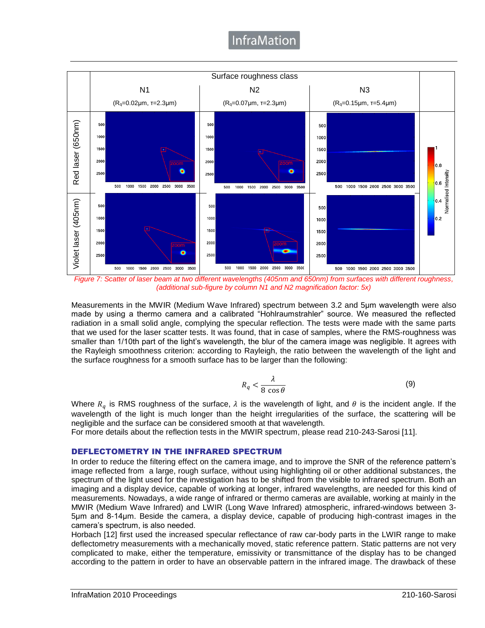# **InfraMation**



*Figure 7: Scatter of laser beam at two different wavelengths (405nm and 650nm) from surfaces with different roughness, (additional sub-figure by column N1 and N2 magnification factor: 5x)*

Measurements in the MWIR (Medium Wave Infrared) spectrum between 3.2 and 5μm wavelength were also made by using a thermo camera and a calibrated "Hohlraumstrahler" source. We measured the reflected radiation in a small solid angle, complying the specular reflection. The tests were made with the same parts that we used for the laser scatter tests. It was found, that in case of samples, where the RMS-roughness was smaller than 1/10th part of the light's wavelength, the blur of the camera image was negligible. It agrees with the Rayleigh smoothness criterion: according to Rayleigh, the ratio between the wavelength of the light and the surface roughness for a smooth surface has to be larger than the following:

$$
R_q < \frac{\lambda}{8 \cos \theta} \tag{9}
$$

Where  $R_q$  is RMS roughness of the surface,  $\lambda$  is the wavelength of light, and  $\theta$  is the incident angle. If the wavelength of the light is much longer than the height irregularities of the surface, the scattering will be negligible and the surface can be considered smooth at that wavelength.

For more details about the reflection tests in the MWIR spectrum, please read 210-243-Sarosi [11].

### DEFLECTOMETRY IN THE INFRARED SPECTRUM

In order to reduce the filtering effect on the camera image, and to improve the SNR of the reference pattern's image reflected from a large, rough surface, without using highlighting oil or other additional substances, the spectrum of the light used for the investigation has to be shifted from the visible to infrared spectrum. Both an imaging and a display device, capable of working at longer, infrared wavelengths, are needed for this kind of measurements. Nowadays, a wide range of infrared or thermo cameras are available, working at mainly in the MWIR (Medium Wave Infrared) and LWIR (Long Wave Infrared) atmospheric, infrared-windows between 3- 5μm and 8-14μm. Beside the camera, a display device, capable of producing high-contrast images in the camera's spectrum, is also needed.

Horbach [12] first used the increased specular reflectance of raw car-body parts in the LWIR range to make deflectometry measurements with a mechanically moved, static reference pattern. Static patterns are not very complicated to make, either the temperature, emissivity or transmittance of the display has to be changed according to the pattern in order to have an observable pattern in the infrared image. The drawback of these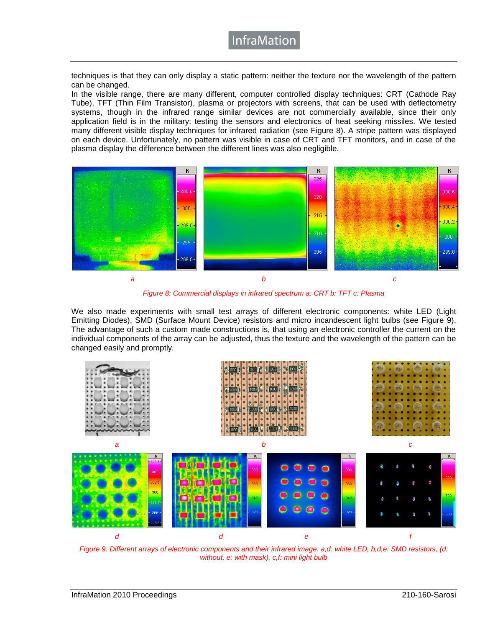techniques is that they can only display a static pattern: neither the texture nor the wavelength of the pattern can be changed.

In the visible range, there are many different, computer controlled display techniques: CRT (Cathode Ray Tube), TFT (Thin Film Transistor), plasma or projectors with screens, that can be used with deflectometry systems, though in the infrared range similar devices are not commercially available, since their only application field is in the military: testing the sensors and electronics of heat seeking missiles. We tested many different visible display techniques for infrared radiation (see Figure 8). A stripe pattern was displayed on each device. Unfortunately, no pattern was visible in case of CRT and TFT monitors, and in case of the plasma display the difference between the different lines was also negligible.



*Figure 8: Commercial displays in infrared spectrum a: CRT b: TFT c: Plasma*

We also made experiments with small test arrays of different electronic components: white LED (Light Emitting Diodes), SMD (Surface Mount Device) resistors and micro incandescent light bulbs (see Figure 9). The advantage of such a custom made constructions is, that using an electronic controller the current on the individual components of the array can be adjusted, thus the texture and the wavelength of the pattern can be changed easily and promptly.



*Figure 9: Different arrays of electronic components and their infrared image: a,d: white LED, b,d,e: SMD resistors, (d: without, e: with mask), c,f: mini light bulb*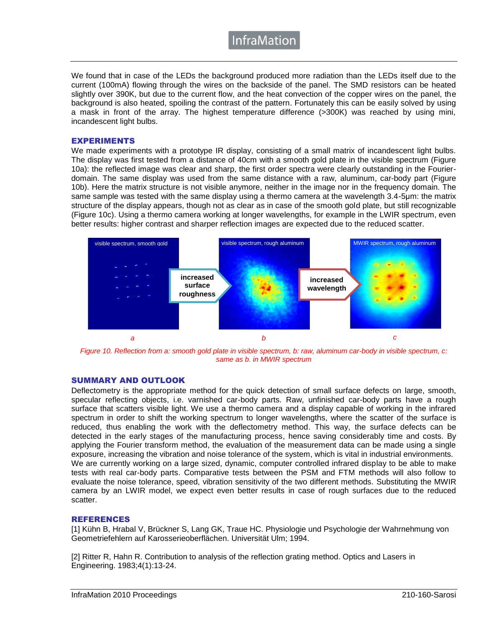**InfraMatior** 

We found that in case of the LEDs the background produced more radiation than the LEDs itself due to the current (100mA) flowing through the wires on the backside of the panel. The SMD resistors can be heated slightly over 390K, but due to the current flow, and the heat convection of the copper wires on the panel, the background is also heated, spoiling the contrast of the pattern. Fortunately this can be easily solved by using a mask in front of the array. The highest temperature difference (>300K) was reached by using mini, incandescent light bulbs.

### EXPERIMENTS

We made experiments with a prototype IR display, consisting of a small matrix of incandescent light bulbs. The display was first tested from a distance of 40cm with a smooth gold plate in the visible spectrum (Figure 10a): the reflected image was clear and sharp, the first order spectra were clearly outstanding in the Fourierdomain. The same display was used from the same distance with a raw, aluminum, car-body part (Figure 10b). Here the matrix structure is not visible anymore, neither in the image nor in the frequency domain. The same sample was tested with the same display using a thermo camera at the wavelength 3.4-5µm: the matrix structure of the display appears, though not as clear as in case of the smooth gold plate, but still recognizable (Figure 10c). Using a thermo camera working at longer wavelengths, for example in the LWIR spectrum, even better results: higher contrast and sharper reflection images are expected due to the reduced scatter.



*Figure 10. Reflection from a: smooth gold plate in visible spectrum, b: raw, aluminum car-body in visible spectrum, c: same as b. in MWIR spectrum*

### SUMMARY AND OUTLOOK

Deflectometry is the appropriate method for the quick detection of small surface defects on large, smooth, specular reflecting objects, i.e. varnished car-body parts. Raw, unfinished car-body parts have a rough surface that scatters visible light. We use a thermo camera and a display capable of working in the infrared spectrum in order to shift the working spectrum to longer wavelengths, where the scatter of the surface is reduced, thus enabling the work with the deflectometry method. This way, the surface defects can be detected in the early stages of the manufacturing process, hence saving considerably time and costs. By applying the Fourier transform method, the evaluation of the measurement data can be made using a single exposure, increasing the vibration and noise tolerance of the system, which is vital in industrial environments. We are currently working on a large sized, dynamic, computer controlled infrared display to be able to make tests with real car-body parts. Comparative tests between the PSM and FTM methods will also follow to evaluate the noise tolerance, speed, vibration sensitivity of the two different methods. Substituting the MWIR camera by an LWIR model, we expect even better results in case of rough surfaces due to the reduced scatter.

#### REFERENCES

[1] Kühn B, Hrabal V, Brückner S, Lang GK, Traue HC. Physiologie und Psychologie der Wahrnehmung von Geometriefehlern auf Karosserieoberflächen. Universität Ulm; 1994.

[2] Ritter R, Hahn R. Contribution to analysis of the reflection grating method. Optics and Lasers in Engineering. 1983;4(1):13-24.